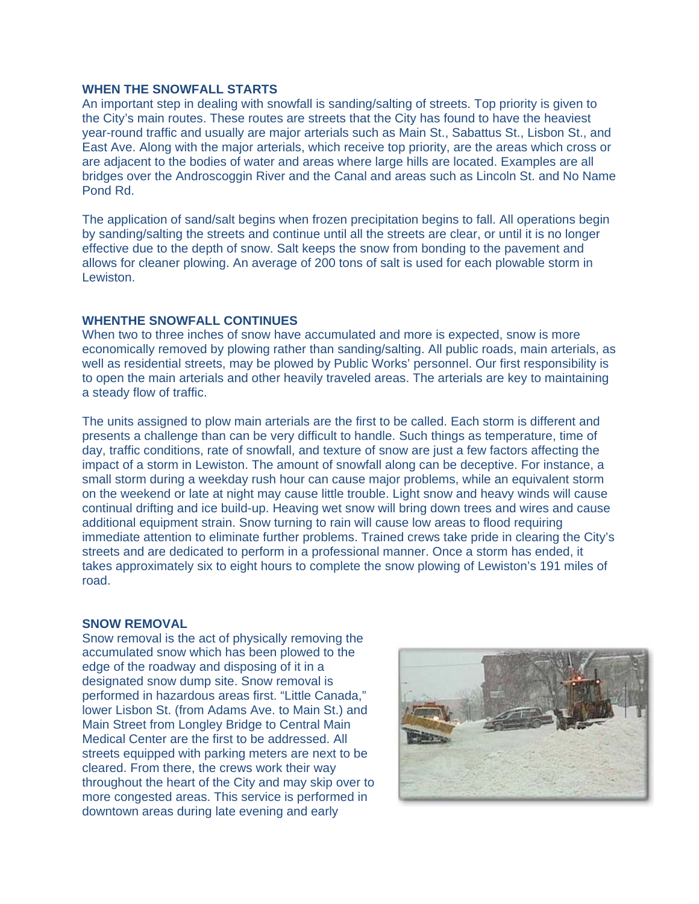## **WHEN THE SNOWFALL STARTS**

An important step in dealing with snowfall is sanding/salting of streets. Top priority is given to the City's main routes. These routes are streets that the City has found to have the heaviest year-round traffic and usually are major arterials such as Main St., Sabattus St., Lisbon St., and East Ave. Along with the major arterials, which receive top priority, are the areas which cross or are adjacent to the bodies of water and areas where large hills are located. Examples are all bridges over the Androscoggin River and the Canal and areas such as Lincoln St. and No Name Pond Rd.

The application of sand/salt begins when frozen precipitation begins to fall. All operations begin by sanding/salting the streets and continue until all the streets are clear, or until it is no longer effective due to the depth of snow. Salt keeps the snow from bonding to the pavement and allows for cleaner plowing. An average of 200 tons of salt is used for each plowable storm in Lewiston.

## **WHENTHE SNOWFALL CONTINUES**

When two to three inches of snow have accumulated and more is expected, snow is more economically removed by plowing rather than sanding/salting. All public roads, main arterials, as well as residential streets, may be plowed by Public Works' personnel. Our first responsibility is to open the main arterials and other heavily traveled areas. The arterials are key to maintaining a steady flow of traffic.

The units assigned to plow main arterials are the first to be called. Each storm is different and presents a challenge than can be very difficult to handle. Such things as temperature, time of day, traffic conditions, rate of snowfall, and texture of snow are just a few factors affecting the impact of a storm in Lewiston. The amount of snowfall along can be deceptive. For instance, a small storm during a weekday rush hour can cause major problems, while an equivalent storm on the weekend or late at night may cause little trouble. Light snow and heavy winds will cause continual drifting and ice build-up. Heaving wet snow will bring down trees and wires and cause additional equipment strain. Snow turning to rain will cause low areas to flood requiring immediate attention to eliminate further problems. Trained crews take pride in clearing the City's streets and are dedicated to perform in a professional manner. Once a storm has ended, it takes approximately six to eight hours to complete the snow plowing of Lewiston's 191 miles of road.

## **SNOW REMOVAL**

Snow removal is the act of physically removing the accumulated snow which has been plowed to the edge of the roadway and disposing of it in a designated snow dump site. Snow removal is performed in hazardous areas first. "Little Canada," lower Lisbon St. (from Adams Ave. to Main St.) and Main Street from Longley Bridge to Central Main Medical Center are the first to be addressed. All streets equipped with parking meters are next to be cleared. From there, the crews work their way throughout the heart of the City and may skip over to more congested areas. This service is performed in downtown areas during late evening and early